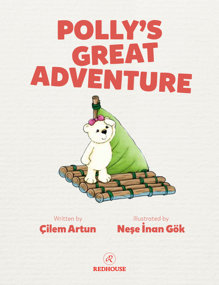## POLLY'S<br>GREAT ADVENTURE



Çilem Artun Neşe İnan Gök Written by **Illustrated by** 

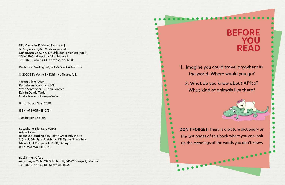SEV Yayıncılık Eğitim ve Ticaret A.Ş. bir Sağlık ve Eğitim Vakfı kuruluşudur. Nuhkuyusu Cad., No. 197 Üsküdar İş Merkezi, Kat 3, 34664 Bağlarbaşı, Üsküdar, İstanbul Tel.: (0216) 474 23 43 • Sertifika No. 12603

Redhouse Reading Set, Polly's Great Adventure

© 2020 SEV Yayıncılık Eğitim ve Ticaret A.Ş.

Yazan: Çilem Artun Resimleyen: Neşe İnan Gök Yayın Yönetmeni: S. Baha Sönmez Editör: Damla Tanla Grafik Tasarım: Hüseyin Vatan

Birinci Baskı: Mart 2020

ISBN: 978-975-413-075-1

Tüm hakları saklıdır.

Kütüphane Bilgi Kartı (CIP): Artun, Çilem Redhouse Reading Set, Polly's Great Adventure 1. Çocuk Edebiyatı 2. Yabancı Dil Eğitimi 3. İngilizce İstanbul, SEV Yayıncılık, 2020, 56 Sayfa ISBN: 978-975-413-075-1

Baskı: İmak Ofset Akçaburgaz Mah., 137 Sok., No. 12, 34522 Esenyurt, İstanbul Tel.: (0212) 444 62 18 • Sertifika: 45523

## BEFORE YOU READ

1. Imagine you could travel anywhere in the world. Where would you go?

2. What do you know about Africa? What kind of animals live there?

 $\bullet$  $\bullet$  $\bullet$  $\bullet$  $\bullet$  $\bullet$  $\bullet$  $\bullet$  $\bullet$  $\bullet$ 

DON'T FORGET: There is a picture dictionary on the last pages of this book where you can look up the meanings of the words you don't know.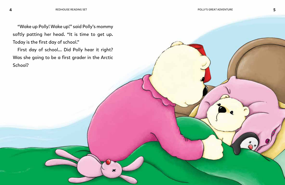"Wake up Polly! Wake up!" said Polly's mommy softly patting her head. "It is time to get up. Today is the first day of school."

First day of school... Did Polly hear it right? Was she going to be a first grader in the Arctic School?